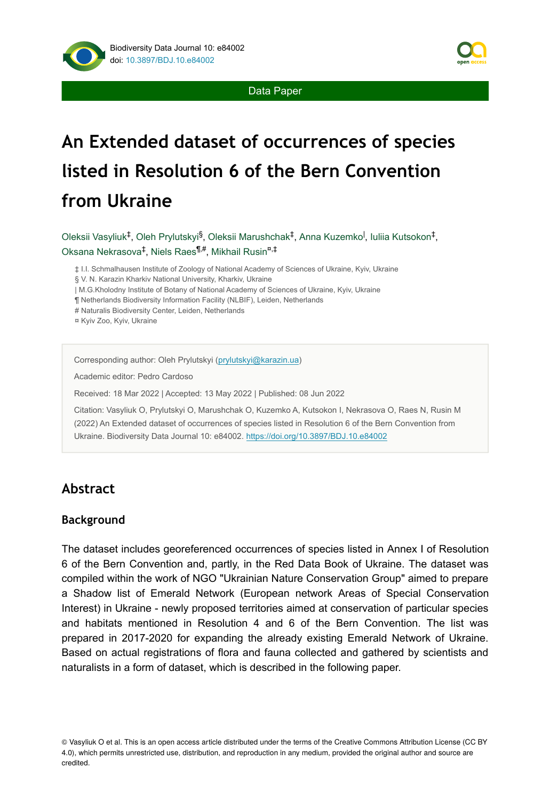

Data Paper

# **An Extended dataset of occurrences of species listed in Resolution 6 of the Bern Convention from Ukraine**

Oleksii Vasyliuk<sup>‡</sup>, Oleh Prylutskyi<sup>§</sup>, Oleksii Marushchak<sup>‡</sup>, Anna Kuzemko<sup>l</sup>, Iuliia Kutsokon<sup>‡</sup>, Oksana Nekrasova<sup>‡</sup>, Niels Raes<sup>¶,#</sup>, Mikhail Rusin<sup>¤,‡</sup>

‡ I.I. Schmalhausen Institute of Zoology of National Academy of Sciences of Ukraine, Kyiv, Ukraine

§ V. N. Karazin Kharkiv National University, Kharkiv, Ukraine

| M.G.Kholodny Institute of Botany of National Academy of Sciences of Ukraine, Kyiv, Ukraine

¶ Netherlands Biodiversity Information Facility (NLBIF), Leiden, Netherlands

# Naturalis Biodiversity Center, Leiden, Netherlands

¤ Kyiv Zoo, Kyiv, Ukraine

Corresponding author: Oleh Prylutskyi [\(prylutskyi@karazin.ua](mailto:prylutskyi@karazin.ua))

Academic editor: Pedro Cardoso

Received: 18 Mar 2022 | Accepted: 13 May 2022 | Published: 08 Jun 2022

Citation: Vasyliuk O, Prylutskyi O, Marushchak O, Kuzemko A, Kutsokon I, Nekrasova O, Raes N, Rusin M (2022) An Extended dataset of occurrences of species listed in Resolution 6 of the Bern Convention from Ukraine. Biodiversity Data Journal 10: e84002.<https://doi.org/10.3897/BDJ.10.e84002>

## **Abstract**

#### **Background**

The dataset includes georeferenced occurrences of species listed in Annex I of Resolution 6 of the Bern Convention and, partly, in the Red Data Book of Ukraine. The dataset was compiled within the work of NGO "Ukrainian Nature Conservation Group" aimed to prepare a Shadow list of Emerald Network (European network Areas of Special Conservation Interest) in Ukraine - newly proposed territories aimed at conservation of particular species and habitats mentioned in Resolution 4 and 6 of the Bern Convention. The list was prepared in 2017-2020 for expanding the already existing Emerald Network of Ukraine. Based on actual registrations of flora and fauna collected and gathered by scientists and naturalists in a form of dataset, which is described in the following paper.

<sup>©</sup> Vasyliuk O et al. This is an open access article distributed under the terms of the Creative Commons Attribution License (CC BY 4.0), which permits unrestricted use, distribution, and reproduction in any medium, provided the original author and source are credited.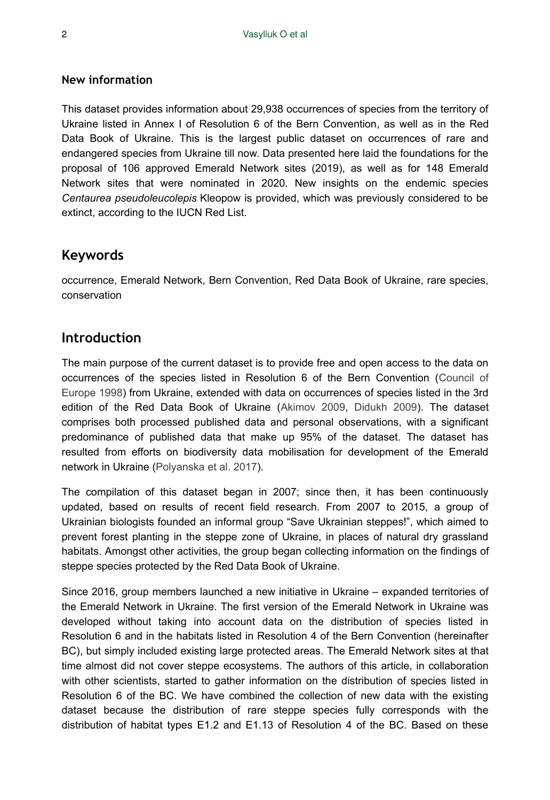#### **New information**

This dataset provides information about 29,938 occurrences of species from the territory of Ukraine listed in Annex I of Resolution 6 of the Bern Convention, as well as in the Red Data Book of Ukraine. This is the largest public dataset on occurrences of rare and endangered species from Ukraine till now. Data presented here laid the foundations for the proposal of 106 approved Emerald Network sites (2019), as well as for 148 Emerald Network sites that were nominated in 2020. New insights on the endemic species *Centaurea pseudoleucolepis* Kleopow is provided, which was previously considered to be extinct, according to the IUCN Red List.

### **Keywords**

occurrence, Emerald Network, Bern Convention, Red Data Book of Ukraine, rare species, conservation

## **Introduction**

The main purpose of the current dataset is to provide free and open access to the data on occurrences of the species listed in Resolution 6 of the Bern Convention ([Council of](#page-12-0) [Europe 1998](#page-12-0)) from Ukraine, extended with data on occurrences of species listed in the 3rd edition of the Red Data Book of Ukraine ([Akimov 2009](#page-11-0), [Didukh 2009](#page-12-1)). The dataset comprises both processed published data and personal observations, with a significant predominance of published data that make up 95% of the dataset. The dataset has resulted from efforts on biodiversity data mobilisation for development of the Emerald network in Ukraine [\(Polyanska et al. 2017\)](#page-13-0).

The compilation of this dataset began in 2007; since then, it has been continuously updated, based on results of recent field research. From 2007 to 2015, a group of Ukrainian biologists founded an informal group "Save Ukrainian steppes!", which aimed to prevent forest planting in the steppe zone of Ukraine, in places of natural dry grassland habitats. Amongst other activities, the group began collecting information on the findings of steppe species protected by the Red Data Book of Ukraine.

Since 2016, group members launched a new initiative in Ukraine – expanded territories of the Emerald Network in Ukraine. The first version of the Emerald Network in Ukraine was developed without taking into account data on the distribution of species listed in Resolution 6 and in the habitats listed in Resolution 4 of the Bern Convention (hereinafter BC), but simply included existing large protected areas. The Emerald Network sites at that time almost did not cover steppe ecosystems. The authors of this article, in collaboration with other scientists, started to gather information on the distribution of species listed in Resolution 6 of the BC. We have combined the collection of new data with the existing dataset because the distribution of rare steppe species fully corresponds with the distribution of habitat types E1.2 and E1.13 of Resolution 4 of the BC. Based on these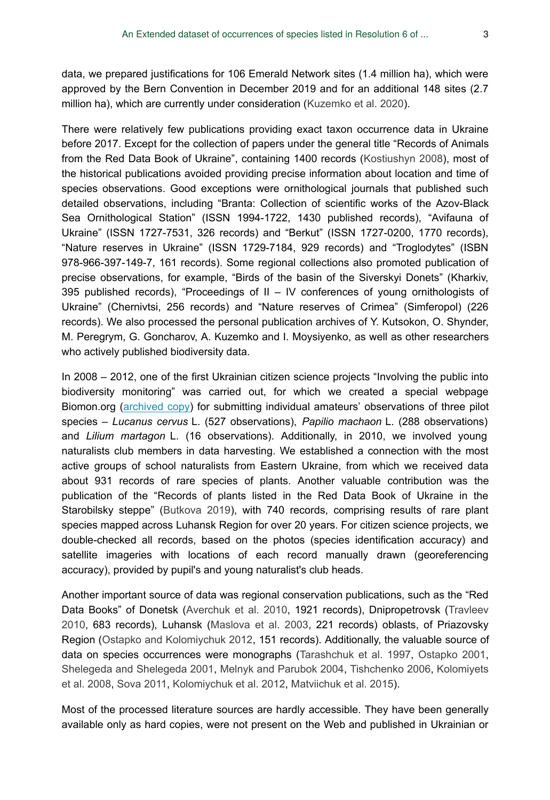data, we prepared justifications for 106 Emerald Network sites (1.4 million ha), which were approved by the Bern Convention in December 2019 and for an additional 148 sites (2.7 million ha), which are currently under consideration ([Kuzemko et al. 2020](#page-12-2)).

There were relatively few publications providing exact taxon occurrence data in Ukraine before 2017. Except for the collection of papers under the general title "Records of Animals from the Red Data Book of Ukraine", containing 1400 records ([Kostiushyn 2008](#page-12-3)), most of the historical publications avoided providing precise information about location and time of species observations. Good exceptions were ornithological journals that published such detailed observations, including "Branta: Collection of scientific works of the Azov-Black Sea Ornithological Station" (ISSN 1994-1722, 1430 published records), "Avifauna of Ukraine" (ISSN 1727-7531, 326 records) and "Berkut" (ISSN 1727-0200, 1770 records), "Nature reserves in Ukraine" (ISSN 1729-7184, 929 records) and "Troglodytes" (ISBN 978-966-397-149-7, 161 records). Some regional collections also promoted publication of precise observations, for example, "Birds of the basin of the Siverskyi Donets" (Kharkiv, 395 published records), "Proceedings of  $II - IV$  conferences of young ornithologists of Ukraine" (Chernivtsi, 256 records) and "Nature reserves of Crimea" (Simferopol) (226 records). We also processed the personal publication archives of Y. Kutsokon, O. Shynder, M. Peregrym, G. Goncharov, A. Kuzemko and I. Moysiyenko, as well as other researchers who actively published biodiversity data.

In 2008 – 2012, one of the first Ukrainian citizen science projects "Involving the public into biodiversity monitoring" was carried out, for which we created a special webpage Biomon.org ([archived copy](https://web.archive.org/web/20160124234941/http://biomon.org/projects/zaluchennya-gromadskosti/)) for submitting individual amateurs' observations of three pilot species – *Lucanus cervus* L. (527 observations), *Papilio machaon* L. (288 observations) and *Lilium martagon* L. (16 observations). Additionally, in 2010, we involved young naturalists club members in data harvesting. We established a connection with the most active groups of school naturalists from Eastern Ukraine, from which we received data about 931 records of rare species of plants. Another valuable contribution was the publication of the "Records of plants listed in the Red Data Book of Ukraine in the Starobilsky steppe" ([Butkova 2019\)](#page-12-4), with 740 records, comprising results of rare plant species mapped across Luhansk Region for over 20 years. For citizen science projects, we double-checked all records, based on the photos (species identification accuracy) and satellite imageries with locations of each record manually drawn (georeferencing accuracy), provided by pupil's and young naturalist's club heads.

Another important source of data was regional conservation publications, such as the "Red Data Books" of Donetsk [\(Averchuk et al. 2010](#page-11-1), 1921 records), Dnipropetrovsk [\(Travleev](#page-14-0) [2010](#page-14-0), 683 records), Luhansk [\(Maslova et al. 2003](#page-13-1), 221 records) oblasts, of Priazovsky Region ([Ostapko and Kolomiychuk 2012,](#page-13-2) 151 records). Additionally, the valuable source of data on species occurrences were monographs ([Tarashchuk et al. 1997](#page-14-1), [Ostapko 2001,](#page-13-3) [Shelegeda and Shelegeda 2001,](#page-14-2) [Melnyk and Parubok 2004](#page-13-4), [Tishchenko 2006](#page-14-3), [Kolomiyets](#page-12-5) [et al. 2008](#page-12-5), [Sova 2011,](#page-14-4) [Kolomiychuk et al. 2012](#page-12-6), [Matviichuk et al. 2015](#page-13-5)).

Most of the processed literature sources are hardly accessible. They have been generally available only as hard copies, were not present on the Web and published in Ukrainian or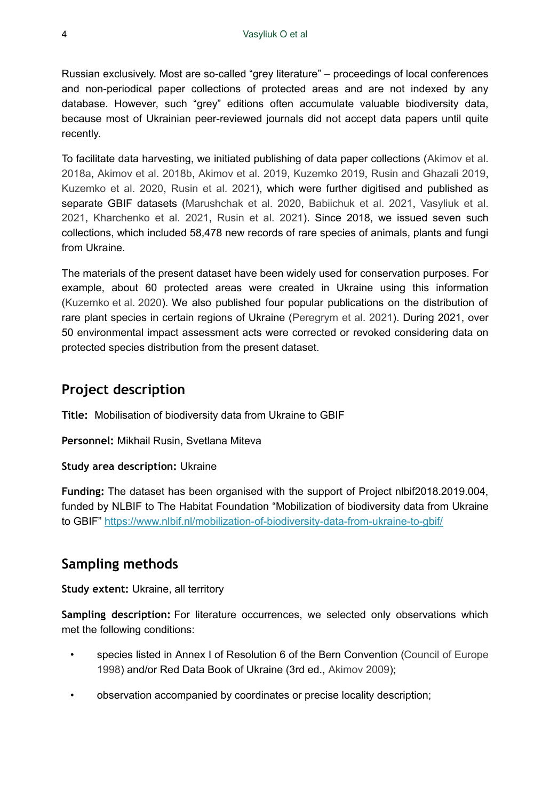Russian exclusively. Most are so-called "grey literature" – proceedings of local conferences and non-periodical paper collections of protected areas and are not indexed by any database. However, such "grey" editions often accumulate valuable biodiversity data, because most of Ukrainian peer-reviewed journals did not accept data papers until quite recently.

To facilitate data harvesting, we initiated publishing of data paper collections ([Akimov et al.](#page-11-2) [2018a](#page-11-2), [Akimov et al. 2018b](#page-11-3), [Akimov et al. 2019](#page-11-4), [Kuzemko 2019,](#page-12-7) [Rusin and Ghazali 2019,](#page-14-5) [Kuzemko et al. 2020,](#page-12-8) [Rusin et al. 2021](#page-14-6)), which were further digitised and published as separate GBIF datasets ([Marushchak et al. 2020,](#page-13-6) [Babiichuk et al. 2021,](#page-11-5) [Vasyliuk et al.](#page-14-7) [2021](#page-14-7), [Kharchenko et al. 2021,](#page-12-9) [Rusin et al. 2021\)](#page-13-7). Since 2018, we issued seven such collections, which included 58,478 new records of rare species of animals, plants and fungi from Ukraine.

The materials of the present dataset have been widely used for conservation purposes. For example, about 60 protected areas were created in Ukraine using this information [\(Kuzemko et al. 2020](#page-12-2)). We also published four popular publications on the distribution of rare plant species in certain regions of Ukraine [\(Peregrym et al. 2021\)](#page-13-8). During 2021, over 50 environmental impact assessment acts were corrected or revoked considering data on protected species distribution from the present dataset.

## **Project description**

**Title:** Mobilisation of biodiversity data from Ukraine to GBIF

**Personnel:** Mikhail Rusin, Svetlana Miteva

#### **Study area description:** Ukraine

**Funding:** The dataset has been organised with the support of Project nlbif2018.2019.004, funded by NLBIF to The Habitat Foundation "Mobilization of biodiversity data from Ukraine to GBIF" <https://www.nlbif.nl/mobilization-of-biodiversity-data-from-ukraine-to-gbif/>

## **Sampling methods**

**Study extent:** Ukraine, all territory

**Sampling description:** For literature occurrences, we selected only observations which met the following conditions:

- species listed in Annex I of Resolution 6 of the Bern Convention [\(Council of Europe](#page-12-0) [1998](#page-12-0)) and/or Red Data Book of Ukraine (3rd ed., [Akimov 2009](#page-11-0));
- observation accompanied by coordinates or precise locality description;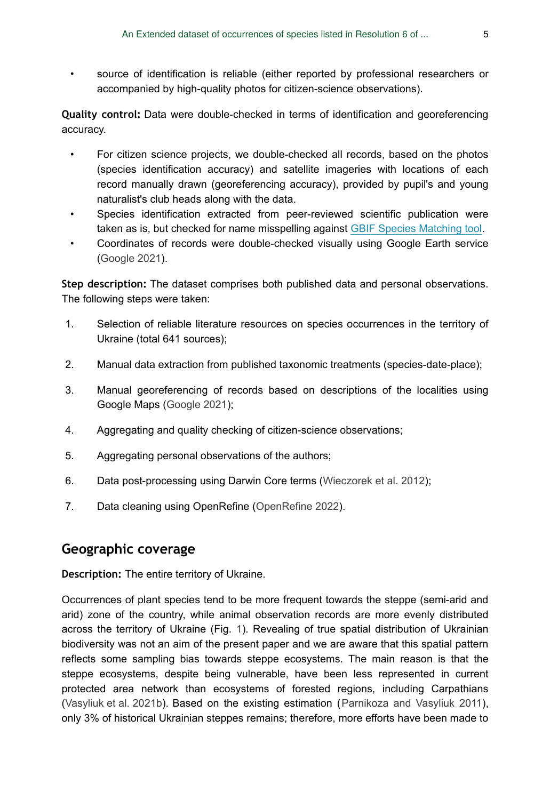• source of identification is reliable (either reported by professional researchers or accompanied by high-quality photos for citizen-science observations).

**Quality control:** Data were double-checked in terms of identification and georeferencing accuracy.

- For citizen science projects, we double-checked all records, based on the photos (species identification accuracy) and satellite imageries with locations of each record manually drawn (georeferencing accuracy), provided by pupil's and young naturalist's club heads along with the data.
- Species identification extracted from peer-reviewed scientific publication were taken as is, but checked for name misspelling against [GBIF Species Matching tool.](https://www.gbif.org/tools/species-lookup)
- Coordinates of records were double-checked visually using Google Earth service [\(Google 2021\)](#page-12-10).

**Step description:** The dataset comprises both published data and personal observations. The following steps were taken:

- 1. Selection of reliable literature resources on species occurrences in the territory of Ukraine (total 641 sources);
- 2. Manual data extraction from published taxonomic treatments (species-date-place);
- 3. Manual georeferencing of records based on descriptions of the localities using Google Maps [\(Google 2021](#page-12-10));
- 4. Aggregating and quality checking of citizen-science observations;
- 5. Aggregating personal observations of the authors;
- 6. Data post-processing using Darwin Core terms ([Wieczorek et al. 2012](#page-14-8));
- 7. Data cleaning using OpenRefine ([OpenRefine 2022](#page-13-9)).

## **Geographic coverage**

**Description:** The entire territory of Ukraine.

Occurrences of plant species tend to be more frequent towards the steppe (semi-arid and arid) zone of the country, while animal observation records are more evenly distributed across the territory of Ukraine (Fig. [1\)](#page-5-0). Revealing of true spatial distribution of Ukrainian biodiversity was not an aim of the present paper and we are aware that this spatial pattern reflects some sampling bias towards steppe ecosystems. The main reason is that the steppe ecosystems, despite being vulnerable, have been less represented in current protected area network than ecosystems of forested regions, including Carpathians [\(Vasyliuk et al. 2021b\)](#page-14-9). Based on the existing estimation ([Parnikoza and Vasyliuk 2011\)](#page-13-10), only 3% of historical Ukrainian steppes remains; therefore, more efforts have been made to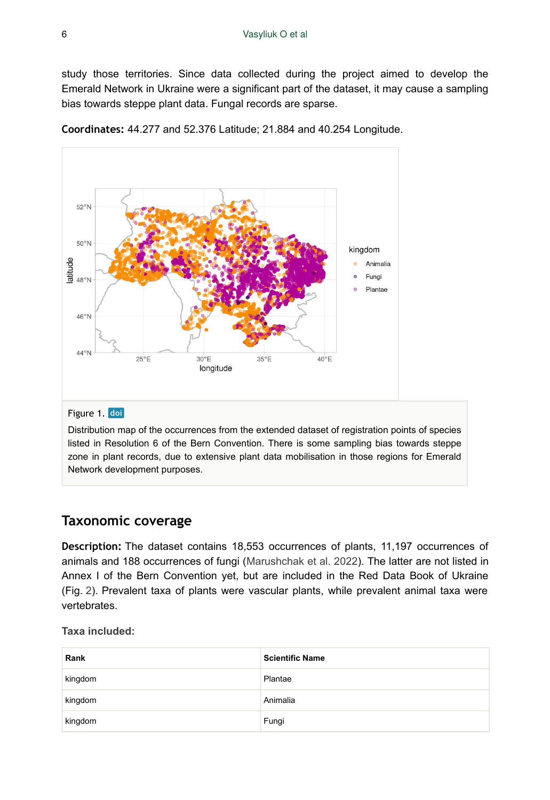study those territories. Since data collected during the project aimed to develop the Emerald Network in Ukraine were a significant part of the dataset, it may cause a sampling bias towards steppe plant data. Fungal records are sparse.

<span id="page-5-0"></span>

**Coordinates:** 44.277 and 52.376 Latitude; 21.884 and 40.254 Longitude.

#### Figure 1. doi

Distribution map of the occurrences from the extended dataset of registration points of species listed in Resolution 6 of the Bern Convention. There is some sampling bias towards steppe zone in plant records, due to extensive plant data mobilisation in those regions for Emerald Network development purposes.

#### **Taxonomic coverage**

**Description:** The dataset contains 18,553 occurrences of plants, 11,197 occurrences of animals and 188 occurrences of fungi [\(Marushchak et al. 2022\)](#page-13-11). The latter are not listed in Annex I of the Bern Convention yet, but are included in the Red Data Book of Ukraine (Fig. [2\)](#page-6-0). Prevalent taxa of plants were vascular plants, while prevalent animal taxa were vertebrates.

**Taxa included:**

| Rank    | <b>Scientific Name</b> |
|---------|------------------------|
| kingdom | Plantae                |
| kingdom | Animalia               |
| kingdom | Fungi                  |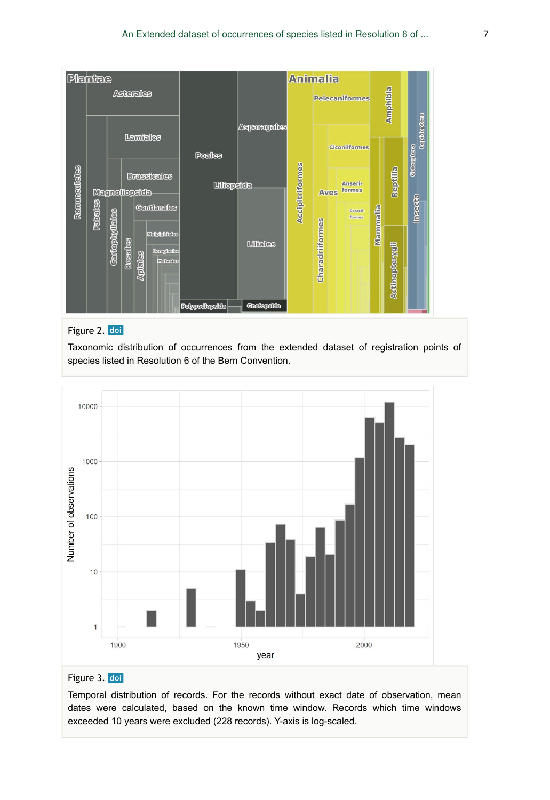<span id="page-6-0"></span>

# Figure 2. doi

Taxonomic distribution of occurrences from the extended dataset of registration points of species listed in Resolution 6 of the Bern Convention.

<span id="page-6-1"></span>

#### Figure 3. doi

Temporal distribution of records. For the records without exact date of observation, mean dates were calculated, based on the known time window. Records which time windows exceeded 10 years were excluded (228 records). Y-axis is log-scaled.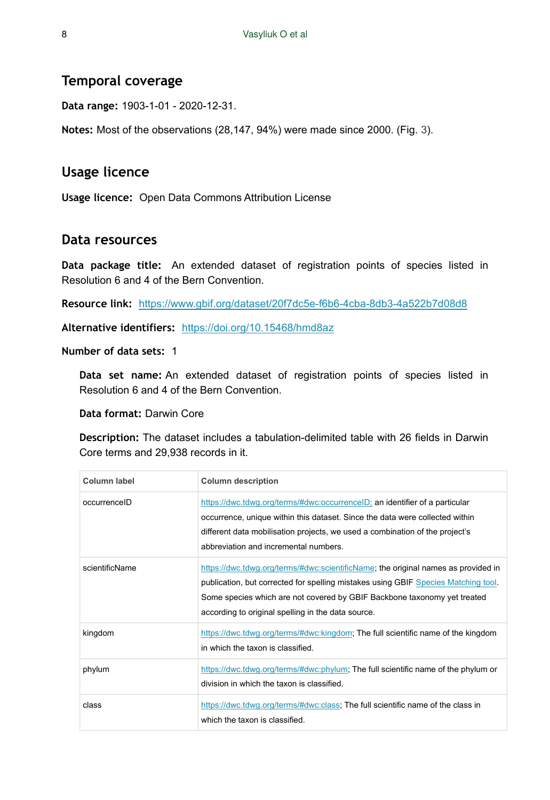## **Temporal coverage**

**Data range:** 1903-1-01 - 2020-12-31.

**Notes:** Most of the observations (28,147, 94%) were made since 2000. (Fig. [3\)](#page-6-1).

## **Usage licence**

**Usage licence:** Open Data Commons Attribution License

#### **Data resources**

**Data package title:** An extended dataset of registration points of species listed in Resolution 6 and 4 of the Bern Convention.

**Resource link:** <https://www.gbif.org/dataset/20f7dc5e-f6b6-4cba-8db3-4a522b7d08d8>

**Alternative identifiers:** <https://doi.org/10.15468/hmd8az>

**Number of data sets:** 1

**Data set name:** An extended dataset of registration points of species listed in Resolution 6 and 4 of the Bern Convention.

**Data format:** Darwin Core

**Description:** The dataset includes a tabulation-delimited table with 26 fields in Darwin Core terms and 29,938 records in it.

| Column label   | <b>Column description</b>                                                                                                                                                                                                                                                                                 |
|----------------|-----------------------------------------------------------------------------------------------------------------------------------------------------------------------------------------------------------------------------------------------------------------------------------------------------------|
| occurrenceID   | https://dwc.tdwg.org/terms/#dwc:occurrenceID; an identifier of a particular<br>occurrence, unique within this dataset. Since the data were collected within<br>different data mobilisation projects, we used a combination of the project's<br>abbreviation and incremental numbers                       |
| scientificName | https://dwc.tdwg.org/terms/#dwc:scientificName; the original names as provided in<br>publication, but corrected for spelling mistakes using GBIF Species Matching tool.<br>Some species which are not covered by GBIF Backbone taxonomy yet treated<br>according to original spelling in the data source. |
| kingdom        | https://dwc.tdwg.org/terms/#dwc:kingdom; The full scientific name of the kingdom<br>in which the taxon is classified.                                                                                                                                                                                     |
| phylum         | https://dwc.tdwg.org/terms/#dwc:phylum; The full scientific name of the phylum or<br>division in which the taxon is classified.                                                                                                                                                                           |
| class          | https://dwc.tdwg.org/terms/#dwc:class; The full scientific name of the class in<br>which the taxon is classified.                                                                                                                                                                                         |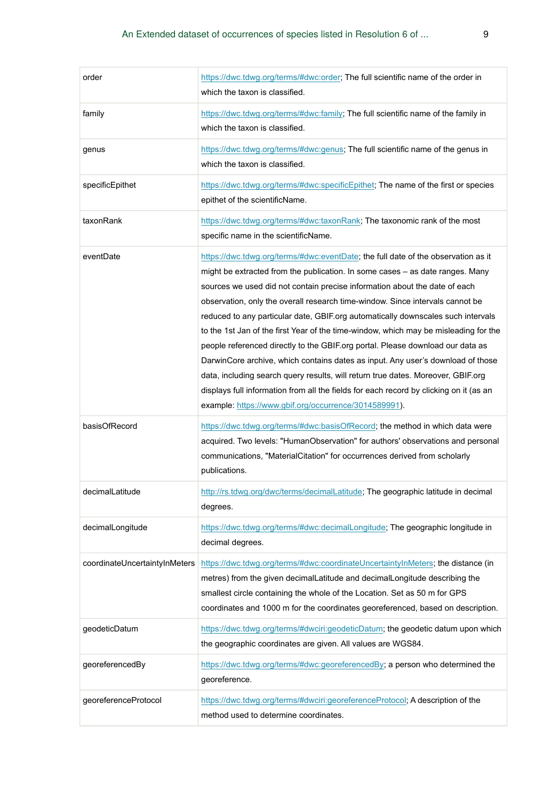| order                         | https://dwc.tdwg.org/terms/#dwc:order; The full scientific name of the order in<br>which the taxon is classified.                                                                                                                                                                                                                                                                                                                                                                                                                                                                                                                                                                                                                                                                                                                                                                                                         |
|-------------------------------|---------------------------------------------------------------------------------------------------------------------------------------------------------------------------------------------------------------------------------------------------------------------------------------------------------------------------------------------------------------------------------------------------------------------------------------------------------------------------------------------------------------------------------------------------------------------------------------------------------------------------------------------------------------------------------------------------------------------------------------------------------------------------------------------------------------------------------------------------------------------------------------------------------------------------|
| family                        | https://dwc.tdwg.org/terms/#dwc:family; The full scientific name of the family in<br>which the taxon is classified.                                                                                                                                                                                                                                                                                                                                                                                                                                                                                                                                                                                                                                                                                                                                                                                                       |
| genus                         | https://dwc.tdwg.org/terms/#dwc:genus; The full scientific name of the genus in<br>which the taxon is classified.                                                                                                                                                                                                                                                                                                                                                                                                                                                                                                                                                                                                                                                                                                                                                                                                         |
| specificEpithet               | https://dwc.tdwg.org/terms/#dwc:specificEpithet; The name of the first or species<br>epithet of the scientificName.                                                                                                                                                                                                                                                                                                                                                                                                                                                                                                                                                                                                                                                                                                                                                                                                       |
| taxonRank                     | https://dwc.tdwg.org/terms/#dwc:taxonRank; The taxonomic rank of the most<br>specific name in the scientificName.                                                                                                                                                                                                                                                                                                                                                                                                                                                                                                                                                                                                                                                                                                                                                                                                         |
| eventDate                     | https://dwc.tdwg.org/terms/#dwc:eventDate; the full date of the observation as it<br>might be extracted from the publication. In some cases - as date ranges. Many<br>sources we used did not contain precise information about the date of each<br>observation, only the overall research time-window. Since intervals cannot be<br>reduced to any particular date, GBIF.org automatically downscales such intervals<br>to the 1st Jan of the first Year of the time-window, which may be misleading for the<br>people referenced directly to the GBIF org portal. Please download our data as<br>DarwinCore archive, which contains dates as input. Any user's download of those<br>data, including search query results, will return true dates. Moreover, GBIF.org<br>displays full information from all the fields for each record by clicking on it (as an<br>example: https://www.gbif.org/occurrence/3014589991). |
| basisOfRecord                 | https://dwc.tdwg.org/terms/#dwc:basisOfRecord; the method in which data were<br>acquired. Two levels: "HumanObservation" for authors' observations and personal<br>communications, "MaterialCitation" for occurrences derived from scholarly<br>publications.                                                                                                                                                                                                                                                                                                                                                                                                                                                                                                                                                                                                                                                             |
| decimalLatitude               | http://rs.tdwg.org/dwc/terms/decimalLatitude; The geographic latitude in decimal<br>degrees.                                                                                                                                                                                                                                                                                                                                                                                                                                                                                                                                                                                                                                                                                                                                                                                                                              |
| decimalLongitude              | https://dwc.tdwg.org/terms/#dwc:decimalLongitude; The geographic longitude in<br>decimal degrees.                                                                                                                                                                                                                                                                                                                                                                                                                                                                                                                                                                                                                                                                                                                                                                                                                         |
| coordinateUncertaintyInMeters | https://dwc.tdwg.org/terms/#dwc:coordinateUncertaintyInMeters; the distance (in<br>metres) from the given decimalLatitude and decimalLongitude describing the<br>smallest circle containing the whole of the Location. Set as 50 m for GPS<br>coordinates and 1000 m for the coordinates georeferenced, based on description.                                                                                                                                                                                                                                                                                                                                                                                                                                                                                                                                                                                             |
| qeodeticDatum                 | https://dwc.tdwg.org/terms/#dwciri:geodeticDatum; the geodetic datum upon which<br>the geographic coordinates are given. All values are WGS84.                                                                                                                                                                                                                                                                                                                                                                                                                                                                                                                                                                                                                                                                                                                                                                            |
| georeferencedBy               | https://dwc.tdwg.org/terms/#dwc:georeferencedBy; a person who determined the<br>georeference.                                                                                                                                                                                                                                                                                                                                                                                                                                                                                                                                                                                                                                                                                                                                                                                                                             |
| georeferenceProtocol          | https://dwc.tdwg.org/terms/#dwciri:georeferenceProtocol; A description of the<br>method used to determine coordinates.                                                                                                                                                                                                                                                                                                                                                                                                                                                                                                                                                                                                                                                                                                                                                                                                    |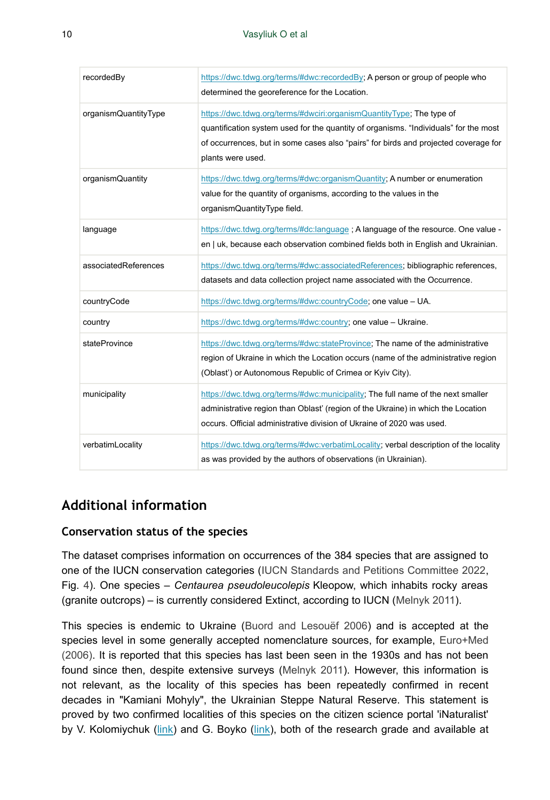| recordedBy           | https://dwc.tdwg.org/terms/#dwc:recordedBy; A person or group of people who<br>determined the georeference for the Location.                                                                                                                                             |
|----------------------|--------------------------------------------------------------------------------------------------------------------------------------------------------------------------------------------------------------------------------------------------------------------------|
| organismQuantityType | https://dwc.tdwg.org/terms/#dwciri:organismQuantityType, The type of<br>quantification system used for the quantity of organisms. "Individuals" for the most<br>of occurrences, but in some cases also "pairs" for birds and projected coverage for<br>plants were used. |
| organismQuantity     | https://dwc.tdwg.org/terms/#dwc:organismQuantity; A number or enumeration<br>value for the quantity of organisms, according to the values in the<br>organismQuantityType field.                                                                                          |
| language             | https://dwc.tdwg.org/terms/#dc:language; A language of the resource. One value -<br>en   uk, because each observation combined fields both in English and Ukrainian.                                                                                                     |
| associatedReferences | https://dwc.tdwg.org/terms/#dwc:associatedReferences; bibliographic references,<br>datasets and data collection project name associated with the Occurrence.                                                                                                             |
| countryCode          | https://dwc.tdwg.org/terms/#dwc:countryCode; one value - UA.                                                                                                                                                                                                             |
| country              | https://dwc.tdwg.org/terms/#dwc:country; one value - Ukraine.                                                                                                                                                                                                            |
| stateProvince        | https://dwc.tdwg.org/terms/#dwc:stateProvince; The name of the administrative<br>region of Ukraine in which the Location occurs (name of the administrative region<br>(Oblast') or Autonomous Republic of Crimea or Kyiv City).                                          |
| municipality         | https://dwc.tdwg.org/terms/#dwc:municipality; The full name of the next smaller<br>administrative region than Oblast' (region of the Ukraine) in which the Location<br>occurs. Official administrative division of Ukraine of 2020 was used.                             |
| verbatimLocality     | https://dwc.tdwg.org/terms/#dwc:verbatimLocality; verbal description of the locality<br>as was provided by the authors of observations (in Ukrainian).                                                                                                                   |

# **Additional information**

#### **Conservation status of the species**

The dataset comprises information on occurrences of the 384 species that are assigned to one of the IUCN conservation categories [\(IUCN Standards and Petitions Committee 2022,](#page-12-11) Fig. [4\)](#page-10-0). One species – *Centaurea pseudoleucolepis* Kleopow, which inhabits rocky areas (granite outcrops) – is currently considered Extinct, according to IUCN ([Melnyk 2011\)](#page-13-12).

This species is endemic to Ukraine [\(Buord and Lesouëf 2006](#page-12-12)) and is accepted at the species level in some generally accepted nomenclature sources, for example, [Euro+Med](#page-12-13) [\(2006\)](#page-12-13). It is reported that this species has last been seen in the 1930s and has not been found since then, despite extensive surveys [\(Melnyk 2011\)](#page-13-12). However, this information is not relevant, as the locality of this species has been repeatedly confirmed in recent decades in "Kamiani Mohyly", the Ukrainian Steppe Natural Reserve. This statement is proved by two confirmed localities of this species on the citizen science portal 'iNaturalist' by V. Kolomiychuk ([link](https://www.inaturalist.org/observations/66625302)) and G. Boyko ([link\)](https://www.inaturalist.org/observations/38474707), both of the research grade and available at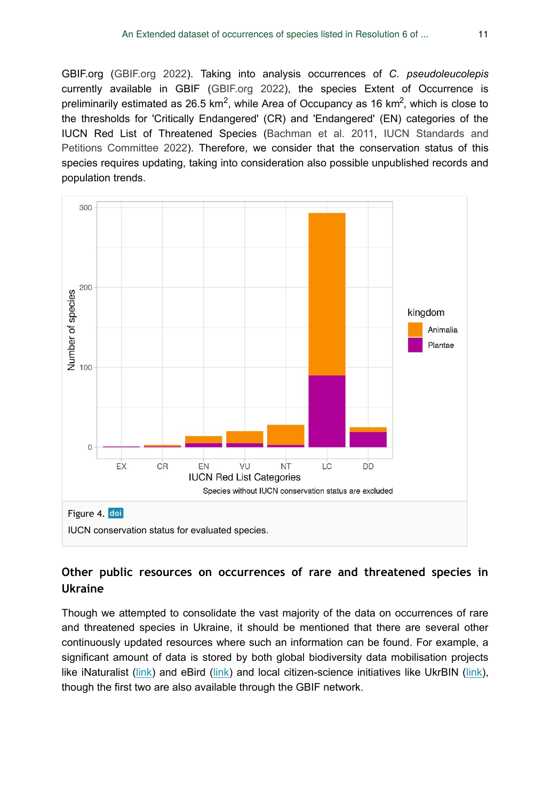GBIF.org [\(GBIF.org 2022\)](#page-12-14). Taking into analysis occurrences of *C. pseudoleucolepis* currently available in GBIF ([GBIF.org 2022\)](#page-12-14), the species Extent of Occurrence is preliminarily estimated as 26.5 km<sup>2</sup>, while Area of Occupancy as 16 km<sup>2</sup>, which is close to the thresholds for 'Critically Endangered' (CR) and 'Endangered' (EN) categories of the IUCN Red List of Threatened Species ([Bachman et al. 2011,](#page-11-6) [IUCN Standards and](#page-12-11) [Petitions Committee 2022](#page-12-11)). Therefore, we consider that the conservation status of this species requires updating, taking into consideration also possible unpublished records and population trends.

<span id="page-10-0"></span>

#### **Other public resources on occurrences of rare and threatened species in Ukraine**

Though we attempted to consolidate the vast majority of the data on occurrences of rare and threatened species in Ukraine, it should be mentioned that there are several other continuously updated resources where such an information can be found. For example, a significant amount of data is stored by both global biodiversity data mobilisation projects like iNaturalist ([link](https://www.inaturalist.org/)) and eBird [\(link\)](https://ebird.org/home) and local citizen-science initiatives like UkrBIN [\(link\)](https://ukrbin.com/), though the first two are also available through the GBIF network.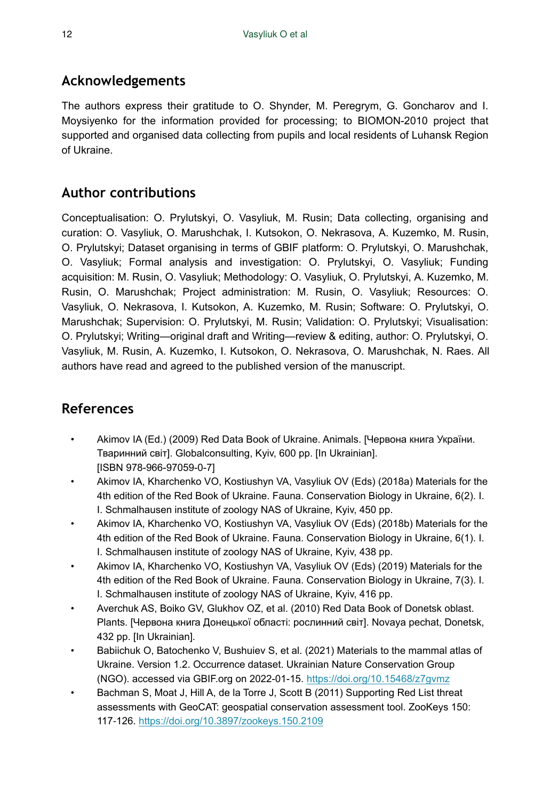# **Acknowledgements**

The authors express their gratitude to O. Shynder, M. Peregrym, G. Goncharov and I. Moysiyenko for the information provided for processing; to BIOMON-2010 project that supported and organised data collecting from pupils and local residents of Luhansk Region of Ukraine.

# **Author contributions**

Conceptualisation: O. Prylutskyi, O. Vasyliuk, M. Rusin; Data collecting, organising and curation: O. Vasyliuk, O. Marushchak, I. Kutsokon, O. Nekrasova, A. Kuzemko, M. Rusin, O. Prylutskyi; Dataset organising in terms of GBIF platform: O. Prylutskyi, O. Marushchak, O. Vasyliuk; Formal analysis and investigation: O. Prylutskyi, O. Vasyliuk; Funding acquisition: M. Rusin, O. Vasyliuk; Methodology: O. Vasyliuk, O. Prylutskyi, A. Kuzemko, M. Rusin, O. Marushchak; Project administration: M. Rusin, O. Vasyliuk; Resources: O. Vasyliuk, O. Nekrasova, I. Kutsokon, A. Kuzemko, M. Rusin; Software: O. Prylutskyi, O. Marushchak; Supervision: O. Prylutskyi, M. Rusin; Validation: O. Prylutskyi; Visualisation: O. Prylutskyi; Writing—original draft and Writing—review & editing, author: O. Prylutskyi, O. Vasyliuk, M. Rusin, A. Kuzemko, I. Kutsokon, O. Nekrasova, O. Marushchak, N. Raes. All authors have read and agreed to the published version of the manuscript.

# **References**

- <span id="page-11-0"></span>• Akimov IA (Ed.) (2009) Red Data Book of Ukraine. Animals. [Червона книга України. Тваринний світ]. Globalconsulting, Kyiv, 600 pp. [In Ukrainian]. [ISBN 978-966-97059-0-7]
- <span id="page-11-2"></span>• Akimov IA, Kharchenko VO, Kostiushyn VA, Vasyliuk OV (Eds) (2018a) Materials for the 4th edition of the Red Book of Ukraine. Fauna. Conservation Biology in Ukraine, 6(2). I. I. Schmalhausen institute of zoology NAS of Ukraine, Kyiv, 450 pp.
- <span id="page-11-3"></span>• Akimov IA, Kharchenko VO, Kostiushyn VA, Vasyliuk OV (Eds) (2018b) Materials for the 4th edition of the Red Book of Ukraine. Fauna. Conservation Biology in Ukraine, 6(1). I. I. Schmalhausen institute of zoology NAS of Ukraine, Kyiv, 438 pp.
- <span id="page-11-4"></span>• Akimov IA, Kharchenko VO, Kostiushyn VA, Vasyliuk OV (Eds) (2019) Materials for the 4th edition of the Red Book of Ukraine. Fauna. Conservation Biology in Ukraine, 7(3). I. I. Schmalhausen institute of zoology NAS of Ukraine, Kyiv, 416 pp.
- <span id="page-11-1"></span>• Averchuk AS, Boiko GV, Glukhov OZ, et al. (2010) Red Data Book of Donetsk oblast. Plants. [Червона книга Донецької області: рослинний світ]. Novaya pechat, Donetsk, 432 pp. [In Ukrainian].
- <span id="page-11-5"></span>• Babiichuk O, Batochenko V, Bushuiev S, et al. (2021) Materials to the mammal atlas of Ukraine. Version 1.2. Occurrence dataset. Ukrainian Nature Conservation Group (NGO). accessed via GBIF.org on 2022-01-15. <https://doi.org/10.15468/z7gvmz>
- <span id="page-11-6"></span>• Bachman S, Moat J, Hill A, de la Torre J, Scott B (2011) Supporting Red List threat assessments with GeoCAT: geospatial conservation assessment tool. ZooKeys 150: 117‑126. <https://doi.org/10.3897/zookeys.150.2109>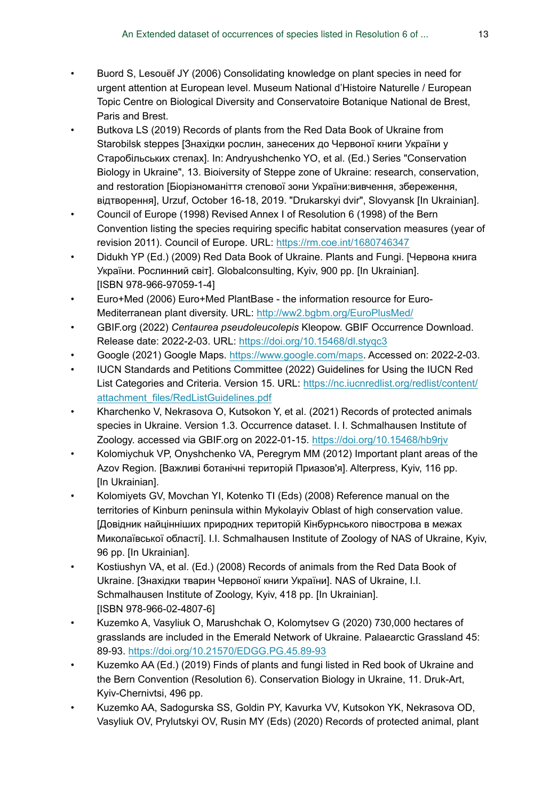- <span id="page-12-12"></span>• Buord S, Lesouëf JY (2006) Consolidating knowledge on plant species in need for urgent attention at European level. Museum National d'Histoire Naturelle / European Topic Centre on Biological Diversity and Conservatoire Botanique National de Brest, Paris and Brest.
- <span id="page-12-4"></span>• Butkova LS (2019) Records of plants from the Red Data Book of Ukraine from Starobilsk steppes [Знахідки рослин, занесених до Червоної книги України у Старобільських степах]. In: Andryushchenko YO, et al. (Ed.) Series "Conservation Biology in Ukraine", 13. Bioiversity of Steppe zone of Ukraine: research, conservation, and restoration [Біорізноманіття степової зони України:вивчення, збереження, відтворення], Urzuf, October 16-18, 2019. "Drukarskyi dvir", Slovyansk [In Ukrainian].
- <span id="page-12-0"></span>• Council of Europe (1998) Revised Annex I of Resolution 6 (1998) of the Bern Convention listing the species requiring specific habitat conservation measures (year of revision 2011). Council of Europe. URL: <https://rm.coe.int/1680746347>
- <span id="page-12-1"></span>• Didukh YP (Ed.) (2009) Red Data Book of Ukraine. Plants and Fungi. [Червона книга України. Рослинний світ]. Globalconsulting, Kyiv, 900 pp. [In Ukrainian]. [ISBN 978-966-97059-1-4]
- <span id="page-12-13"></span>• Euro+Med (2006) Euro+Med PlantBase - the information resource for Euro-Mediterranean plant diversity. URL:<http://ww2.bgbm.org/EuroPlusMed/>
- <span id="page-12-14"></span>• GBIF.org (2022) *Centaurea pseudoleucolepis* Kleopow. GBIF Occurrence Download. Release date: 2022-2-03. URL:<https://doi.org/10.15468/dl.styqc3>
- <span id="page-12-10"></span>• Google (2021) Google Maps. [https://www.google.com/maps.](https://www.google.com/maps) Accessed on: 2022-2-03.
- <span id="page-12-11"></span>• IUCN Standards and Petitions Committee (2022) Guidelines for Using the IUCN Red List Categories and Criteria. Version 15. URL: [https://nc.iucnredlist.org/redlist/content/](https://nc.iucnredlist.org/redlist/content/attachment_files/RedListGuidelines.pdf) [attachment\\_files/RedListGuidelines.pdf](https://nc.iucnredlist.org/redlist/content/attachment_files/RedListGuidelines.pdf)
- <span id="page-12-9"></span>• Kharchenko V, Nekrasova O, Kutsokon Y, et al. (2021) Records of protected animals species in Ukraine. Version 1.3. Occurrence dataset. I. I. Schmalhausen Institute of Zoology. accessed via GBIF.org on 2022-01-15.<https://doi.org/10.15468/hb9rjv>
- <span id="page-12-6"></span>• Kolomiychuk VP, Onyshchenko VA, Peregrym MM (2012) Important plant areas of the Azov Region. [Важливі ботанічні територій Приазов'я]. Alterpress, Kyiv, 116 pp. [In Ukrainian].
- <span id="page-12-5"></span>• Kolomiyets GV, Movchan YI, Kotenko TI (Eds) (2008) Reference manual on the territories of Kinburn peninsula within Mykolayiv Oblast of high conservation value. [Довідник найцінніших природних територій Кінбурнського півострова в межах Миколаївської області]. I.I. Schmalhausen Institute of Zoology of NAS of Ukraine, Kyiv, 96 pp. [In Ukrainian].
- <span id="page-12-3"></span>• Kostiushyn VA, et al. (Ed.) (2008) Records of animals from the Red Data Book of Ukraine. [Знахідки тварин Червоної книги України]. NAS of Ukraine, I.I. Schmalhausen Institute of Zoology, Kyiv, 418 pp. [In Ukrainian]. [ISBN 978-966-02-4807-6]
- <span id="page-12-2"></span>• Kuzemko A, Vasyliuk O, Marushchak O, Kolomytsev G (2020) 730,000 hectares of grasslands are included in the Emerald Network of Ukraine. Palaearctic Grassland 45: 89‑93.<https://doi.org/10.21570/EDGG.PG.45.89-93>
- <span id="page-12-7"></span>• Kuzemko AA (Ed.) (2019) Finds of plants and fungi listed in Red book of Ukraine and the Bern Convention (Resolution 6). Conservation Biology in Ukraine, 11. Druk-Art, Kyiv-Chernivtsi, 496 pp.
- <span id="page-12-8"></span>• Kuzemko AA, Sadogurska SS, Goldin PY, Kavurka VV, Kutsokon YK, Nekrasova OD, Vasyliuk OV, Prylutskyi OV, Rusin MY (Eds) (2020) Records of protected animal, plant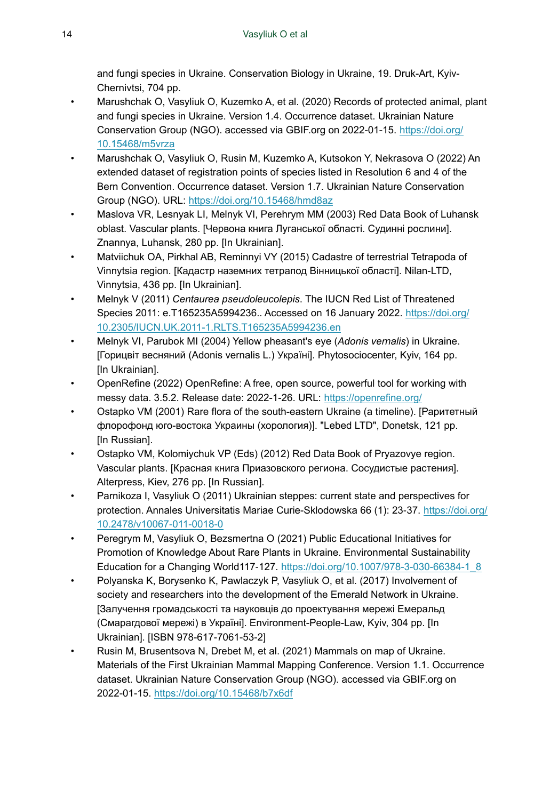and fungi species in Ukraine. Conservation Biology in Ukraine, 19. Druk-Art, Kyiv-Chernivtsi, 704 pp.

- <span id="page-13-6"></span>• Marushchak O, Vasyliuk O, Kuzemko A, et al. (2020) Records of protected animal, plant and fungi species in Ukraine. Version 1.4. Occurrence dataset. Ukrainian Nature Conservation Group (NGO). accessed via GBIF.org on 2022-01-15. [https://doi.org/](https://doi.org/10.15468/m5vrza) [10.15468/m5vrza](https://doi.org/10.15468/m5vrza)
- <span id="page-13-11"></span>• Marushchak O, Vasyliuk O, Rusin M, Kuzemko A, Kutsokon Y, Nekrasova O (2022) An extended dataset of registration points of species listed in Resolution 6 and 4 of the Bern Convention. Occurrence dataset. Version 1.7. Ukrainian Nature Conservation Group (NGO). URL:<https://doi.org/10.15468/hmd8az>
- <span id="page-13-1"></span>• Maslova VR, Lesnyak LI, Melnyk VI, Perehrym MM (2003) Red Data Book of Luhansk oblast. Vascular plants. [Червона книга Луганської області. Судинні рослини]. Znannya, Luhansk, 280 pp. [In Ukrainian].
- <span id="page-13-5"></span>• Matviichuk OA, Pirkhal AB, Reminnyi VY (2015) Cadastre of terrestrial Tetrapoda of Vinnytsia region. [Кадастр наземних тетрапод Вінницької області]. Nilan-LTD, Vinnytsia, 436 pp. [In Ukrainian].
- <span id="page-13-12"></span>• Melnyk V (2011) *Centaurea pseudoleucolepis*. The IUCN Red List of Threatened Species 2011: e.T165235A5994236.. Accessed on 16 January 2022. [https://doi.org/](https://doi.org/10.2305/IUCN.UK.2011-1.RLTS.T165235A5994236.en) [10.2305/IUCN.UK.2011-1.RLTS.T165235A5994236.en](https://doi.org/10.2305/IUCN.UK.2011-1.RLTS.T165235A5994236.en)
- <span id="page-13-4"></span>• Melnyk VI, Parubok MI (2004) Yellow pheasant's eye (*Adonis vernalis*) in Ukraine. [Горицвіт весняний (Adonis vernalis L.) Україні]. Phytosociocenter, Kyiv, 164 pp. [In Ukrainian].
- <span id="page-13-9"></span>• OpenRefine (2022) OpenRefine: A free, open source, powerful tool for working with messy data. 3.5.2. Release date: 2022-1-26. URL:<https://openrefine.org/>
- <span id="page-13-3"></span>• Ostapko VM (2001) Rare flora of the south-eastern Ukraine (a timeline). [Раритетный флорофонд юго-востока Украины (хорология)]. "Lebed LTD", Donetsk, 121 pp. [In Russian].
- <span id="page-13-2"></span>• Ostapko VM, Kolomiychuk VP (Eds) (2012) Red Data Book of Pryazovye region. Vascular plants. [Красная книга Приазовского региона. Сосудистые растения]. Alterpress, Kiev, 276 pp. [In Russian].
- <span id="page-13-10"></span>Parnikoza I, Vasyliuk O (2011) Ukrainian steppes: current state and perspectives for protection. Annales Universitatis Mariae Curie-Sklodowska 66 (1): 23-37. [https://doi.org/](https://doi.org/10.2478/v10067-011-0018-0) [10.2478/v10067-011-0018-0](https://doi.org/10.2478/v10067-011-0018-0)
- <span id="page-13-8"></span>• Peregrym M, Vasyliuk O, Bezsmertna O (2021) Public Educational Initiatives for Promotion of Knowledge About Rare Plants in Ukraine. Environmental Sustainability Education for a Changing World117-127. [https://doi.org/10.1007/978-3-030-66384-1\\_8](https://doi.org/10.1007/978-3-030-66384-1_8)
- <span id="page-13-0"></span>• Polyanska K, Borysenko K, Pawlaczyk P, Vasyliuk O, et al. (2017) Involvement of society and researchers into the development of the Emerald Network in Ukraine. [Залучення громадськості та науковців до проектування мережі Емеральд (Смарагдової мережі) в Україні]. Environment-People-Law, Kyiv, 304 pp. [In Ukrainian]. [ISBN 978-617-7061-53-2]
- <span id="page-13-7"></span>• Rusin M, Brusentsova N, Drebet M, et al. (2021) Mammals on map of Ukraine. Materials of the First Ukrainian Mammal Mapping Conference. Version 1.1. Occurrence dataset. Ukrainian Nature Conservation Group (NGO). accessed via GBIF.org on 2022-01-15. <https://doi.org/10.15468/b7x6df>